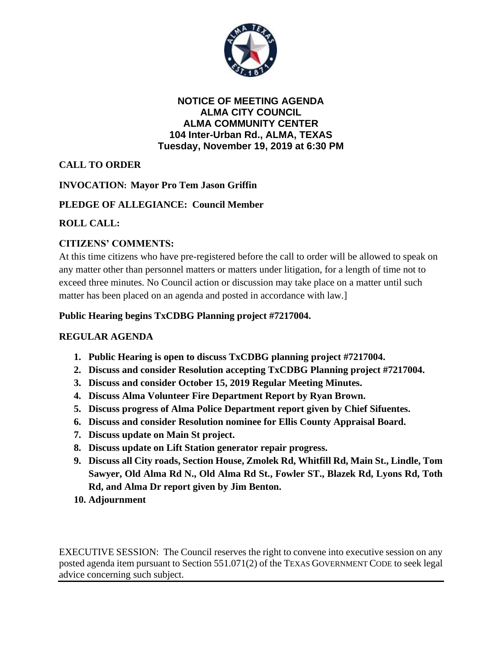

**NOTICE OF MEETING AGENDA ALMA CITY COUNCIL ALMA COMMUNITY CENTER 104 Inter-Urban Rd., ALMA, TEXAS Tuesday, November 19, 2019 at 6:30 PM**

**CALL TO ORDER**

**INVOCATION: Mayor Pro Tem Jason Griffin**

# **PLEDGE OF ALLEGIANCE: Council Member**

# **ROLL CALL:**

# **CITIZENS' COMMENTS:**

At this time citizens who have pre-registered before the call to order will be allowed to speak on any matter other than personnel matters or matters under litigation, for a length of time not to exceed three minutes. No Council action or discussion may take place on a matter until such matter has been placed on an agenda and posted in accordance with law.]

## **Public Hearing begins TxCDBG Planning project #7217004.**

### **REGULAR AGENDA**

- **1. Public Hearing is open to discuss TxCDBG planning project #7217004.**
- **2. Discuss and consider Resolution accepting TxCDBG Planning project #7217004.**
- **3. Discuss and consider October 15, 2019 Regular Meeting Minutes.**
- **4. Discuss Alma Volunteer Fire Department Report by Ryan Brown.**
- **5. Discuss progress of Alma Police Department report given by Chief Sifuentes.**
- **6. Discuss and consider Resolution nominee for Ellis County Appraisal Board.**
- **7. Discuss update on Main St project.**
- **8. Discuss update on Lift Station generator repair progress.**
- **9. Discuss all City roads, Section House, Zmolek Rd, Whitfill Rd, Main St., Lindle, Tom Sawyer, Old Alma Rd N., Old Alma Rd St., Fowler ST., Blazek Rd, Lyons Rd, Toth Rd, and Alma Dr report given by Jim Benton.**
- **10. Adjournment**

EXECUTIVE SESSION: The Council reserves the right to convene into executive session on any posted agenda item pursuant to Section 551.071(2) of the TEXAS GOVERNMENT CODE to seek legal advice concerning such subject.